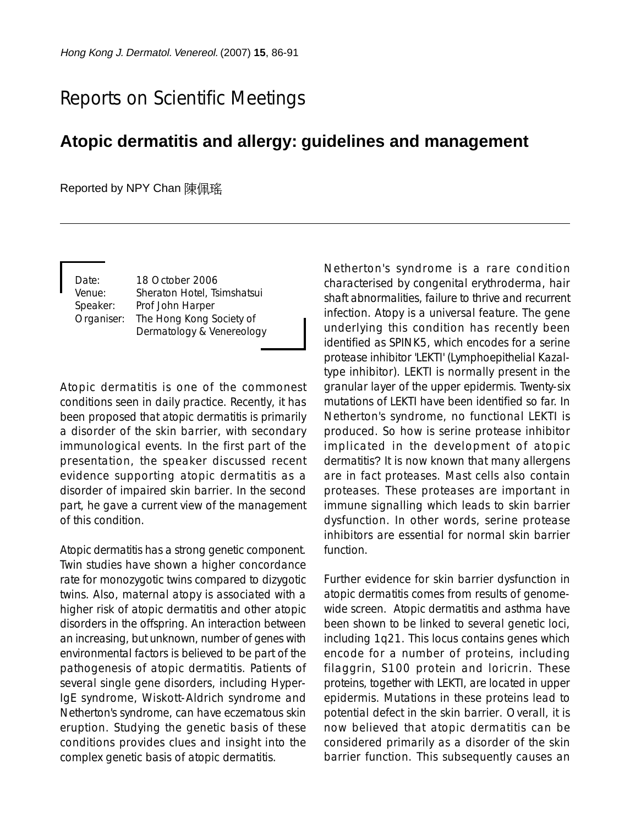## Reports on Scientific Meetings

## **Atopic dermatitis and allergy: guidelines and management**

Reported by NPY Chan 陳佩瑤

Date: 18 October 2006 Venue: Sheraton Hotel, Tsimshatsui Speaker: Prof John Harper Organiser: The Hong Kong Society of Dermatology & Venereology

Atopic dermatitis is one of the commonest conditions seen in daily practice. Recently, it has been proposed that atopic dermatitis is primarily a disorder of the skin barrier, with secondary immunological events. In the first part of the presentation, the speaker discussed recent evidence supporting atopic dermatitis as a disorder of impaired skin barrier. In the second part, he gave a current view of the management of this condition.

Atopic dermatitis has a strong genetic component. Twin studies have shown a higher concordance rate for monozygotic twins compared to dizygotic twins. Also, maternal atopy is associated with a higher risk of atopic dermatitis and other atopic disorders in the offspring. An interaction between an increasing, but unknown, number of genes with environmental factors is believed to be part of the pathogenesis of atopic dermatitis. Patients of several single gene disorders, including Hyper-IgE syndrome, Wiskott-Aldrich syndrome and Netherton's syndrome, can have eczematous skin eruption. Studying the genetic basis of these conditions provides clues and insight into the complex genetic basis of atopic dermatitis.

Netherton's syndrome is a rare condition characterised by congenital erythroderma, hair shaft abnormalities, failure to thrive and recurrent infection. Atopy is a universal feature. The gene underlying this condition has recently been identified as SPINK5, which encodes for a serine protease inhibitor 'LEKTI' (Lymphoepithelial Kazaltype inhibitor). LEKTI is normally present in the granular layer of the upper epidermis. Twenty-six mutations of LEKTI have been identified so far. In Netherton's syndrome, no functional LEKTI is produced. So how is serine protease inhibitor implicated in the development of atopic dermatitis? It is now known that many allergens are in fact proteases. Mast cells also contain proteases. These proteases are important in immune signalling which leads to skin barrier dysfunction. In other words, serine protease inhibitors are essential for normal skin barrier function.

Further evidence for skin barrier dysfunction in atopic dermatitis comes from results of genomewide screen. Atopic dermatitis and asthma have been shown to be linked to several genetic loci, including 1q21. This locus contains genes which encode for a number of proteins, including filaggrin, S100 protein and loricrin. These proteins, together with LEKTI, are located in upper epidermis. Mutations in these proteins lead to potential defect in the skin barrier. Overall, it is now believed that atopic dermatitis can be considered primarily as a disorder of the skin barrier function. This subsequently causes an